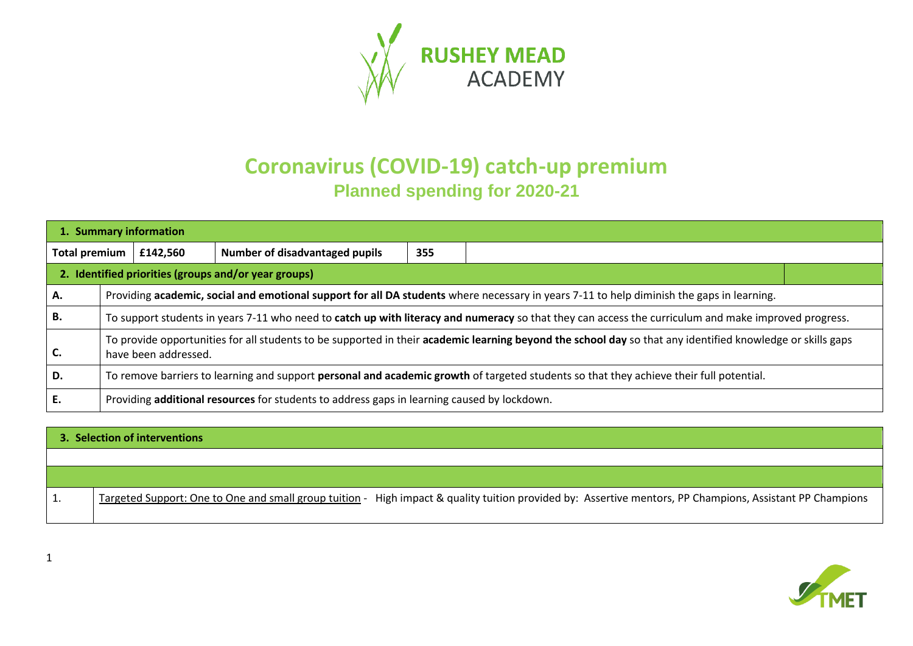

# **Coronavirus (COVID-19) catch-up premium Planned spending for 2020-21**

| 1. Summary information |                                                                                                                                                                                    |                                                      |     |                                                                                                                                                      |  |  |  |
|------------------------|------------------------------------------------------------------------------------------------------------------------------------------------------------------------------------|------------------------------------------------------|-----|------------------------------------------------------------------------------------------------------------------------------------------------------|--|--|--|
| <b>Total premium</b>   | £142,560                                                                                                                                                                           | Number of disadvantaged pupils                       | 355 |                                                                                                                                                      |  |  |  |
|                        |                                                                                                                                                                                    | 2. Identified priorities (groups and/or year groups) |     |                                                                                                                                                      |  |  |  |
| А.                     | Providing academic, social and emotional support for all DA students where necessary in years 7-11 to help diminish the gaps in learning.                                          |                                                      |     |                                                                                                                                                      |  |  |  |
| <b>B.</b>              |                                                                                                                                                                                    |                                                      |     | To support students in years 7-11 who need to catch up with literacy and numeracy so that they can access the curriculum and make improved progress. |  |  |  |
| C.                     | To provide opportunities for all students to be supported in their academic learning beyond the school day so that any identified knowledge or skills gaps<br>have been addressed. |                                                      |     |                                                                                                                                                      |  |  |  |
| D.                     | To remove barriers to learning and support personal and academic growth of targeted students so that they achieve their full potential.                                            |                                                      |     |                                                                                                                                                      |  |  |  |
| Ε.                     | Providing additional resources for students to address gaps in learning caused by lockdown.                                                                                        |                                                      |     |                                                                                                                                                      |  |  |  |

# **3. Selection of interventions**  1. Targeted Support: One to One and small group tuition - High impact & quality tuition provided by: Assertive mentors, PP Champions, Assistant PP Champions

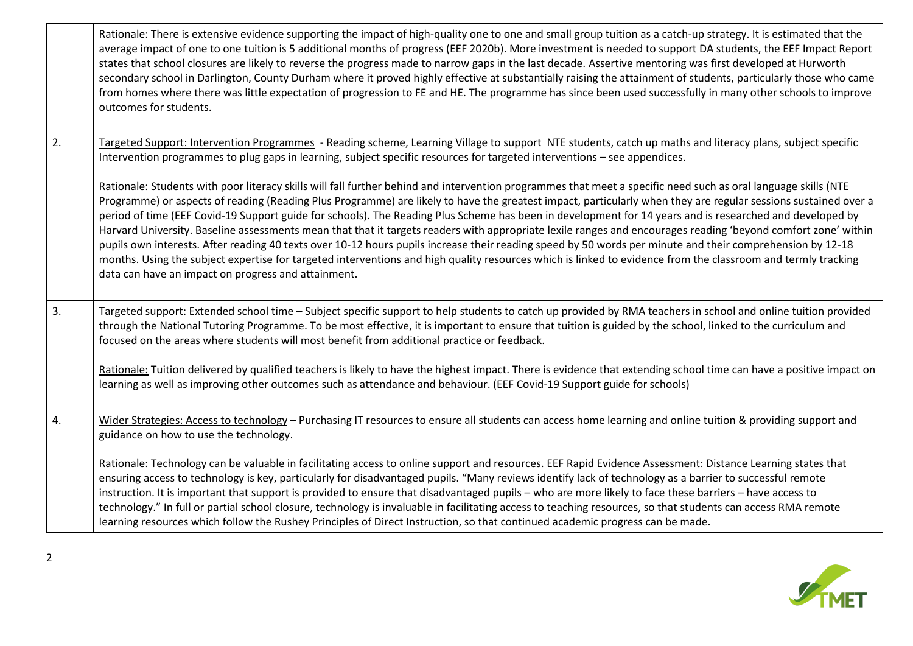|    | Rationale: There is extensive evidence supporting the impact of high-quality one to one and small group tuition as a catch-up strategy. It is estimated that the<br>average impact of one to one tuition is 5 additional months of progress (EEF 2020b). More investment is needed to support DA students, the EEF Impact Report<br>states that school closures are likely to reverse the progress made to narrow gaps in the last decade. Assertive mentoring was first developed at Hurworth<br>secondary school in Darlington, County Durham where it proved highly effective at substantially raising the attainment of students, particularly those who came<br>from homes where there was little expectation of progression to FE and HE. The programme has since been used successfully in many other schools to improve<br>outcomes for students.                                                                                                                                                                                         |
|----|---------------------------------------------------------------------------------------------------------------------------------------------------------------------------------------------------------------------------------------------------------------------------------------------------------------------------------------------------------------------------------------------------------------------------------------------------------------------------------------------------------------------------------------------------------------------------------------------------------------------------------------------------------------------------------------------------------------------------------------------------------------------------------------------------------------------------------------------------------------------------------------------------------------------------------------------------------------------------------------------------------------------------------------------------|
| 2. | Targeted Support: Intervention Programmes - Reading scheme, Learning Village to support NTE students, catch up maths and literacy plans, subject specific<br>Intervention programmes to plug gaps in learning, subject specific resources for targeted interventions - see appendices.                                                                                                                                                                                                                                                                                                                                                                                                                                                                                                                                                                                                                                                                                                                                                            |
|    | Rationale: Students with poor literacy skills will fall further behind and intervention programmes that meet a specific need such as oral language skills (NTE<br>Programme) or aspects of reading (Reading Plus Programme) are likely to have the greatest impact, particularly when they are regular sessions sustained over a<br>period of time (EEF Covid-19 Support guide for schools). The Reading Plus Scheme has been in development for 14 years and is researched and developed by<br>Harvard University. Baseline assessments mean that that it targets readers with appropriate lexile ranges and encourages reading 'beyond comfort zone' within<br>pupils own interests. After reading 40 texts over 10-12 hours pupils increase their reading speed by 50 words per minute and their comprehension by 12-18<br>months. Using the subject expertise for targeted interventions and high quality resources which is linked to evidence from the classroom and termly tracking<br>data can have an impact on progress and attainment. |
| 3. | Targeted support: Extended school time – Subject specific support to help students to catch up provided by RMA teachers in school and online tuition provided<br>through the National Tutoring Programme. To be most effective, it is important to ensure that tuition is guided by the school, linked to the curriculum and<br>focused on the areas where students will most benefit from additional practice or feedback.                                                                                                                                                                                                                                                                                                                                                                                                                                                                                                                                                                                                                       |
|    | Rationale: Tuition delivered by qualified teachers is likely to have the highest impact. There is evidence that extending school time can have a positive impact on<br>learning as well as improving other outcomes such as attendance and behaviour. (EEF Covid-19 Support guide for schools)                                                                                                                                                                                                                                                                                                                                                                                                                                                                                                                                                                                                                                                                                                                                                    |
| 4. | Wider Strategies: Access to technology - Purchasing IT resources to ensure all students can access home learning and online tuition & providing support and<br>guidance on how to use the technology.                                                                                                                                                                                                                                                                                                                                                                                                                                                                                                                                                                                                                                                                                                                                                                                                                                             |
|    | Rationale: Technology can be valuable in facilitating access to online support and resources. EEF Rapid Evidence Assessment: Distance Learning states that<br>ensuring access to technology is key, particularly for disadvantaged pupils. "Many reviews identify lack of technology as a barrier to successful remote<br>instruction. It is important that support is provided to ensure that disadvantaged pupils - who are more likely to face these barriers - have access to<br>technology." In full or partial school closure, technology is invaluable in facilitating access to teaching resources, so that students can access RMA remote<br>learning resources which follow the Rushey Principles of Direct Instruction, so that continued academic progress can be made.                                                                                                                                                                                                                                                               |

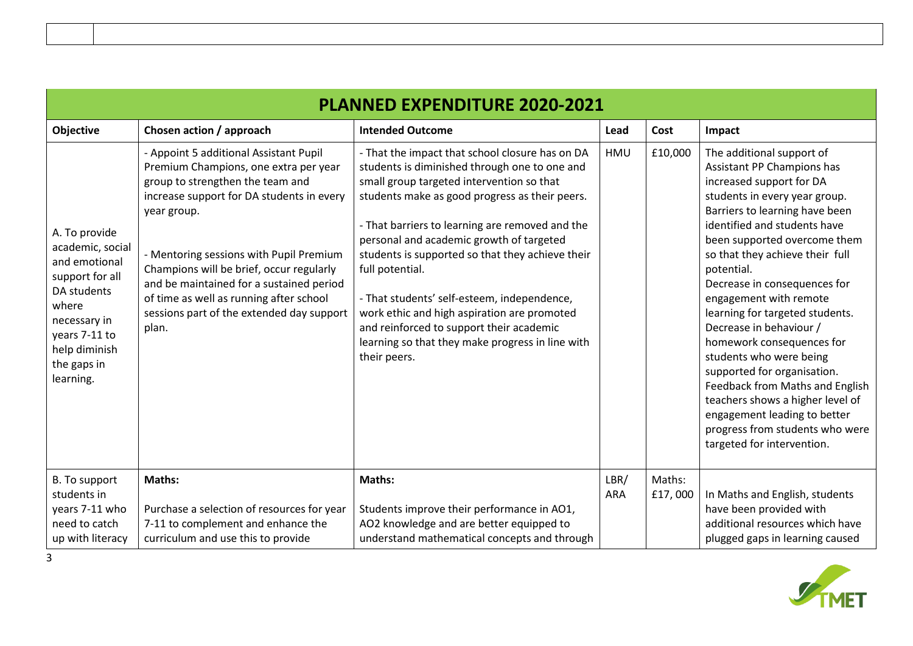| <b>PLANNED EXPENDITURE 2020-2021</b>                                                                                                                                        |                                                                                                                                                                                                                                                                                                                                                                                                                     |                                                                                                                                                                                                                                                                                                                                                                                                                                                                                                                                                                                     |                    |                   |                                                                                                                                                                                                                                                                                                                                                                                                                                                                                                                                                                                                                                                                |  |  |
|-----------------------------------------------------------------------------------------------------------------------------------------------------------------------------|---------------------------------------------------------------------------------------------------------------------------------------------------------------------------------------------------------------------------------------------------------------------------------------------------------------------------------------------------------------------------------------------------------------------|-------------------------------------------------------------------------------------------------------------------------------------------------------------------------------------------------------------------------------------------------------------------------------------------------------------------------------------------------------------------------------------------------------------------------------------------------------------------------------------------------------------------------------------------------------------------------------------|--------------------|-------------------|----------------------------------------------------------------------------------------------------------------------------------------------------------------------------------------------------------------------------------------------------------------------------------------------------------------------------------------------------------------------------------------------------------------------------------------------------------------------------------------------------------------------------------------------------------------------------------------------------------------------------------------------------------------|--|--|
| <b>Objective</b>                                                                                                                                                            | Chosen action / approach                                                                                                                                                                                                                                                                                                                                                                                            | <b>Intended Outcome</b>                                                                                                                                                                                                                                                                                                                                                                                                                                                                                                                                                             | Lead               | Cost              | Impact                                                                                                                                                                                                                                                                                                                                                                                                                                                                                                                                                                                                                                                         |  |  |
| A. To provide<br>academic, social<br>and emotional<br>support for all<br>DA students<br>where<br>necessary in<br>years 7-11 to<br>help diminish<br>the gaps in<br>learning. | - Appoint 5 additional Assistant Pupil<br>Premium Champions, one extra per year<br>group to strengthen the team and<br>increase support for DA students in every<br>year group.<br>- Mentoring sessions with Pupil Premium<br>Champions will be brief, occur regularly<br>and be maintained for a sustained period<br>of time as well as running after school<br>sessions part of the extended day support<br>plan. | - That the impact that school closure has on DA<br>students is diminished through one to one and<br>small group targeted intervention so that<br>students make as good progress as their peers.<br>- That barriers to learning are removed and the<br>personal and academic growth of targeted<br>students is supported so that they achieve their<br>full potential.<br>- That students' self-esteem, independence,<br>work ethic and high aspiration are promoted<br>and reinforced to support their academic<br>learning so that they make progress in line with<br>their peers. | HMU                | £10,000           | The additional support of<br>Assistant PP Champions has<br>increased support for DA<br>students in every year group.<br>Barriers to learning have been<br>identified and students have<br>been supported overcome them<br>so that they achieve their full<br>potential.<br>Decrease in consequences for<br>engagement with remote<br>learning for targeted students.<br>Decrease in behaviour /<br>homework consequences for<br>students who were being<br>supported for organisation.<br>Feedback from Maths and English<br>teachers shows a higher level of<br>engagement leading to better<br>progress from students who were<br>targeted for intervention. |  |  |
| <b>B.</b> To support<br>students in<br>years 7-11 who<br>need to catch<br>up with literacy                                                                                  | Maths:<br>Purchase a selection of resources for year<br>7-11 to complement and enhance the<br>curriculum and use this to provide                                                                                                                                                                                                                                                                                    | Maths:<br>Students improve their performance in AO1,<br>AO2 knowledge and are better equipped to<br>understand mathematical concepts and through                                                                                                                                                                                                                                                                                                                                                                                                                                    | LBR/<br><b>ARA</b> | Maths:<br>£17,000 | In Maths and English, students<br>have been provided with<br>additional resources which have<br>plugged gaps in learning caused                                                                                                                                                                                                                                                                                                                                                                                                                                                                                                                                |  |  |

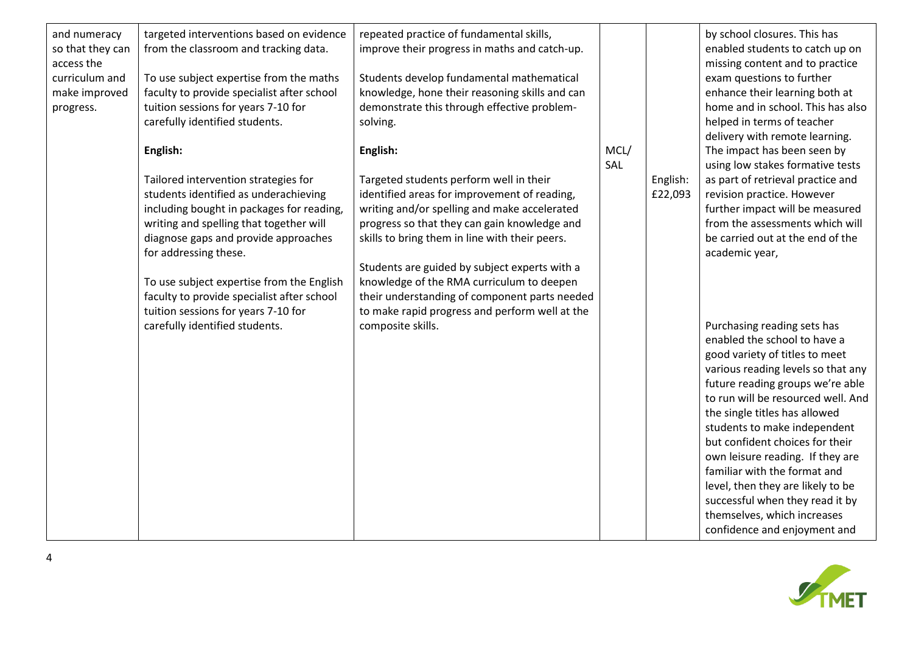| and numeracy<br>so that they can<br>access the<br>curriculum and<br>make improved<br>progress. | targeted interventions based on evidence<br>from the classroom and tracking data.<br>To use subject expertise from the maths<br>faculty to provide specialist after school<br>tuition sessions for years 7-10 for<br>carefully identified students.<br>English:<br>Tailored intervention strategies for<br>students identified as underachieving<br>including bought in packages for reading,<br>writing and spelling that together will<br>diagnose gaps and provide approaches<br>for addressing these.<br>To use subject expertise from the English<br>faculty to provide specialist after school<br>tuition sessions for years 7-10 for<br>carefully identified students. | repeated practice of fundamental skills,<br>improve their progress in maths and catch-up.<br>Students develop fundamental mathematical<br>knowledge, hone their reasoning skills and can<br>demonstrate this through effective problem-<br>solving.<br>English:<br>Targeted students perform well in their<br>identified areas for improvement of reading,<br>writing and/or spelling and make accelerated<br>progress so that they can gain knowledge and<br>skills to bring them in line with their peers.<br>Students are guided by subject experts with a<br>knowledge of the RMA curriculum to deepen<br>their understanding of component parts needed<br>to make rapid progress and perform well at the<br>composite skills. | MCL/<br>SAL | English:<br>£22,093 | by school closures. This has<br>enabled students to catch up on<br>missing content and to practice<br>exam questions to further<br>enhance their learning both at<br>home and in school. This has also<br>helped in terms of teacher<br>delivery with remote learning.<br>The impact has been seen by<br>using low stakes formative tests<br>as part of retrieval practice and<br>revision practice. However<br>further impact will be measured<br>from the assessments which will<br>be carried out at the end of the<br>academic year,<br>Purchasing reading sets has<br>enabled the school to have a<br>good variety of titles to meet<br>various reading levels so that any<br>future reading groups we're able<br>to run will be resourced well. And<br>the single titles has allowed<br>students to make independent<br>but confident choices for their<br>own leisure reading. If they are<br>familiar with the format and<br>level, then they are likely to be<br>successful when they read it by |
|------------------------------------------------------------------------------------------------|-------------------------------------------------------------------------------------------------------------------------------------------------------------------------------------------------------------------------------------------------------------------------------------------------------------------------------------------------------------------------------------------------------------------------------------------------------------------------------------------------------------------------------------------------------------------------------------------------------------------------------------------------------------------------------|------------------------------------------------------------------------------------------------------------------------------------------------------------------------------------------------------------------------------------------------------------------------------------------------------------------------------------------------------------------------------------------------------------------------------------------------------------------------------------------------------------------------------------------------------------------------------------------------------------------------------------------------------------------------------------------------------------------------------------|-------------|---------------------|-----------------------------------------------------------------------------------------------------------------------------------------------------------------------------------------------------------------------------------------------------------------------------------------------------------------------------------------------------------------------------------------------------------------------------------------------------------------------------------------------------------------------------------------------------------------------------------------------------------------------------------------------------------------------------------------------------------------------------------------------------------------------------------------------------------------------------------------------------------------------------------------------------------------------------------------------------------------------------------------------------------|
|                                                                                                |                                                                                                                                                                                                                                                                                                                                                                                                                                                                                                                                                                                                                                                                               |                                                                                                                                                                                                                                                                                                                                                                                                                                                                                                                                                                                                                                                                                                                                    |             |                     | themselves, which increases<br>confidence and enjoyment and                                                                                                                                                                                                                                                                                                                                                                                                                                                                                                                                                                                                                                                                                                                                                                                                                                                                                                                                               |

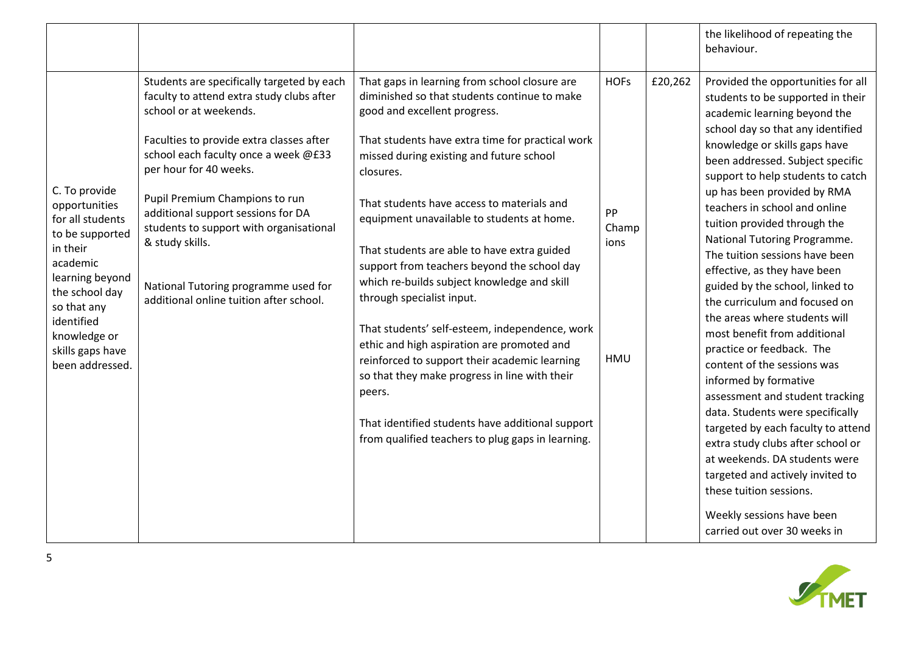|                                                                                                                                                                                                                        |                                                                                                                                                                                                                                                                                                                                                                                                                                                          |                                                                                                                                                                                                                                                                                                                                                                                                                                                                                                                                                                                                                                                                                                                                                                                                                                       |                                           |         | the likelihood of repeating the<br>behaviour.                                                                                                                                                                                                                                                                                                                                                                                                                                                                                                                                                                                                                                                                                                                                                                                                                                                                                                                                                     |
|------------------------------------------------------------------------------------------------------------------------------------------------------------------------------------------------------------------------|----------------------------------------------------------------------------------------------------------------------------------------------------------------------------------------------------------------------------------------------------------------------------------------------------------------------------------------------------------------------------------------------------------------------------------------------------------|---------------------------------------------------------------------------------------------------------------------------------------------------------------------------------------------------------------------------------------------------------------------------------------------------------------------------------------------------------------------------------------------------------------------------------------------------------------------------------------------------------------------------------------------------------------------------------------------------------------------------------------------------------------------------------------------------------------------------------------------------------------------------------------------------------------------------------------|-------------------------------------------|---------|---------------------------------------------------------------------------------------------------------------------------------------------------------------------------------------------------------------------------------------------------------------------------------------------------------------------------------------------------------------------------------------------------------------------------------------------------------------------------------------------------------------------------------------------------------------------------------------------------------------------------------------------------------------------------------------------------------------------------------------------------------------------------------------------------------------------------------------------------------------------------------------------------------------------------------------------------------------------------------------------------|
| C. To provide<br>opportunities<br>for all students<br>to be supported<br>in their<br>academic<br>learning beyond<br>the school day<br>so that any<br>identified<br>knowledge or<br>skills gaps have<br>been addressed. | Students are specifically targeted by each<br>faculty to attend extra study clubs after<br>school or at weekends.<br>Faculties to provide extra classes after<br>school each faculty once a week @£33<br>per hour for 40 weeks.<br>Pupil Premium Champions to run<br>additional support sessions for DA<br>students to support with organisational<br>& study skills.<br>National Tutoring programme used for<br>additional online tuition after school. | That gaps in learning from school closure are<br>diminished so that students continue to make<br>good and excellent progress.<br>That students have extra time for practical work<br>missed during existing and future school<br>closures.<br>That students have access to materials and<br>equipment unavailable to students at home.<br>That students are able to have extra guided<br>support from teachers beyond the school day<br>which re-builds subject knowledge and skill<br>through specialist input.<br>That students' self-esteem, independence, work<br>ethic and high aspiration are promoted and<br>reinforced to support their academic learning<br>so that they make progress in line with their<br>peers.<br>That identified students have additional support<br>from qualified teachers to plug gaps in learning. | <b>HOFs</b><br>PP<br>Champ<br>ions<br>HMU | £20,262 | Provided the opportunities for all<br>students to be supported in their<br>academic learning beyond the<br>school day so that any identified<br>knowledge or skills gaps have<br>been addressed. Subject specific<br>support to help students to catch<br>up has been provided by RMA<br>teachers in school and online<br>tuition provided through the<br>National Tutoring Programme.<br>The tuition sessions have been<br>effective, as they have been<br>guided by the school, linked to<br>the curriculum and focused on<br>the areas where students will<br>most benefit from additional<br>practice or feedback. The<br>content of the sessions was<br>informed by formative<br>assessment and student tracking<br>data. Students were specifically<br>targeted by each faculty to attend<br>extra study clubs after school or<br>at weekends. DA students were<br>targeted and actively invited to<br>these tuition sessions.<br>Weekly sessions have been<br>carried out over 30 weeks in |

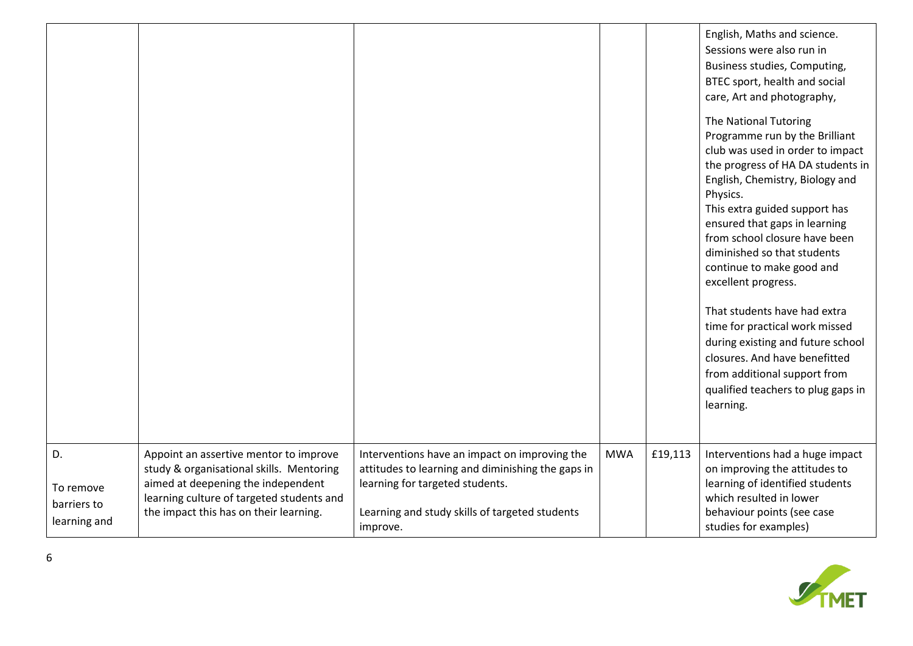|                                                |                                                                                                                                                                                                                 |                                                                                                                                                                                                     |            |         | English, Maths and science.<br>Sessions were also run in<br>Business studies, Computing,<br>BTEC sport, health and social<br>care, Art and photography,                                                                                                                                                                                                                                               |
|------------------------------------------------|-----------------------------------------------------------------------------------------------------------------------------------------------------------------------------------------------------------------|-----------------------------------------------------------------------------------------------------------------------------------------------------------------------------------------------------|------------|---------|-------------------------------------------------------------------------------------------------------------------------------------------------------------------------------------------------------------------------------------------------------------------------------------------------------------------------------------------------------------------------------------------------------|
|                                                |                                                                                                                                                                                                                 |                                                                                                                                                                                                     |            |         | The National Tutoring<br>Programme run by the Brilliant<br>club was used in order to impact<br>the progress of HA DA students in<br>English, Chemistry, Biology and<br>Physics.<br>This extra guided support has<br>ensured that gaps in learning<br>from school closure have been<br>diminished so that students<br>continue to make good and<br>excellent progress.<br>That students have had extra |
|                                                |                                                                                                                                                                                                                 |                                                                                                                                                                                                     |            |         | time for practical work missed<br>during existing and future school<br>closures. And have benefitted                                                                                                                                                                                                                                                                                                  |
|                                                |                                                                                                                                                                                                                 |                                                                                                                                                                                                     |            |         | from additional support from<br>qualified teachers to plug gaps in<br>learning.                                                                                                                                                                                                                                                                                                                       |
| D.<br>To remove<br>barriers to<br>learning and | Appoint an assertive mentor to improve<br>study & organisational skills. Mentoring<br>aimed at deepening the independent<br>learning culture of targeted students and<br>the impact this has on their learning. | Interventions have an impact on improving the<br>attitudes to learning and diminishing the gaps in<br>learning for targeted students.<br>Learning and study skills of targeted students<br>improve. | <b>MWA</b> | £19,113 | Interventions had a huge impact<br>on improving the attitudes to<br>learning of identified students<br>which resulted in lower<br>behaviour points (see case<br>studies for examples)                                                                                                                                                                                                                 |

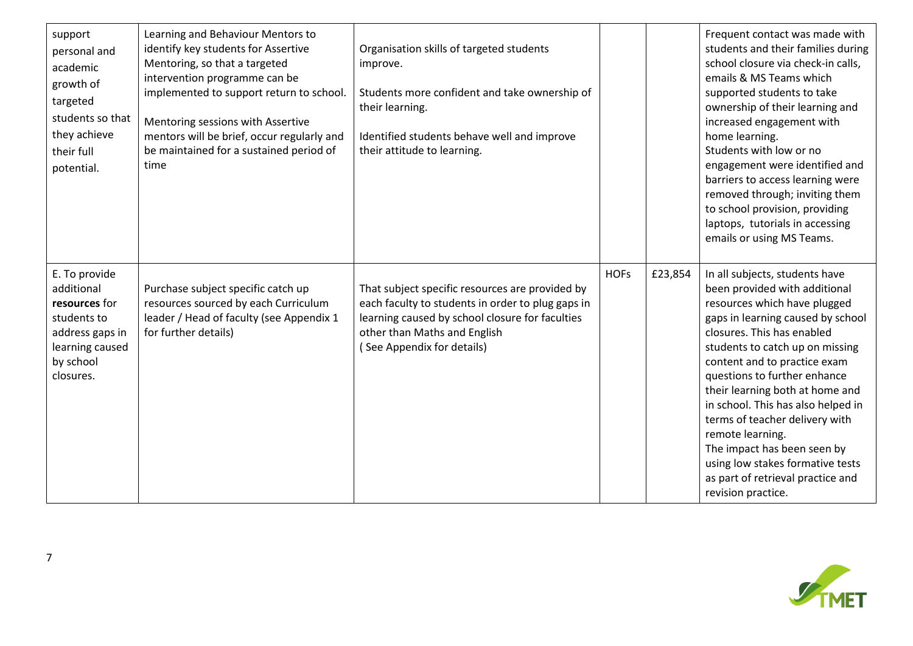| support<br>personal and<br>academic<br>growth of<br>targeted<br>students so that<br>they achieve<br>their full<br>potential. | Learning and Behaviour Mentors to<br>identify key students for Assertive<br>Mentoring, so that a targeted<br>intervention programme can be<br>implemented to support return to school.<br>Mentoring sessions with Assertive<br>mentors will be brief, occur regularly and<br>be maintained for a sustained period of<br>time | Organisation skills of targeted students<br>improve.<br>Students more confident and take ownership of<br>their learning.<br>Identified students behave well and improve<br>their attitude to learning.                |             |         | Frequent contact was made with<br>students and their families during<br>school closure via check-in calls,<br>emails & MS Teams which<br>supported students to take<br>ownership of their learning and<br>increased engagement with<br>home learning.<br>Students with low or no<br>engagement were identified and<br>barriers to access learning were<br>removed through; inviting them<br>to school provision, providing<br>laptops, tutorials in accessing<br>emails or using MS Teams.                                         |
|------------------------------------------------------------------------------------------------------------------------------|------------------------------------------------------------------------------------------------------------------------------------------------------------------------------------------------------------------------------------------------------------------------------------------------------------------------------|-----------------------------------------------------------------------------------------------------------------------------------------------------------------------------------------------------------------------|-------------|---------|------------------------------------------------------------------------------------------------------------------------------------------------------------------------------------------------------------------------------------------------------------------------------------------------------------------------------------------------------------------------------------------------------------------------------------------------------------------------------------------------------------------------------------|
| E. To provide<br>additional<br>resources for<br>students to<br>address gaps in<br>learning caused<br>by school<br>closures.  | Purchase subject specific catch up<br>resources sourced by each Curriculum<br>leader / Head of faculty (see Appendix 1<br>for further details)                                                                                                                                                                               | That subject specific resources are provided by<br>each faculty to students in order to plug gaps in<br>learning caused by school closure for faculties<br>other than Maths and English<br>(See Appendix for details) | <b>HOFs</b> | £23,854 | In all subjects, students have<br>been provided with additional<br>resources which have plugged<br>gaps in learning caused by school<br>closures. This has enabled<br>students to catch up on missing<br>content and to practice exam<br>questions to further enhance<br>their learning both at home and<br>in school. This has also helped in<br>terms of teacher delivery with<br>remote learning.<br>The impact has been seen by<br>using low stakes formative tests<br>as part of retrieval practice and<br>revision practice. |

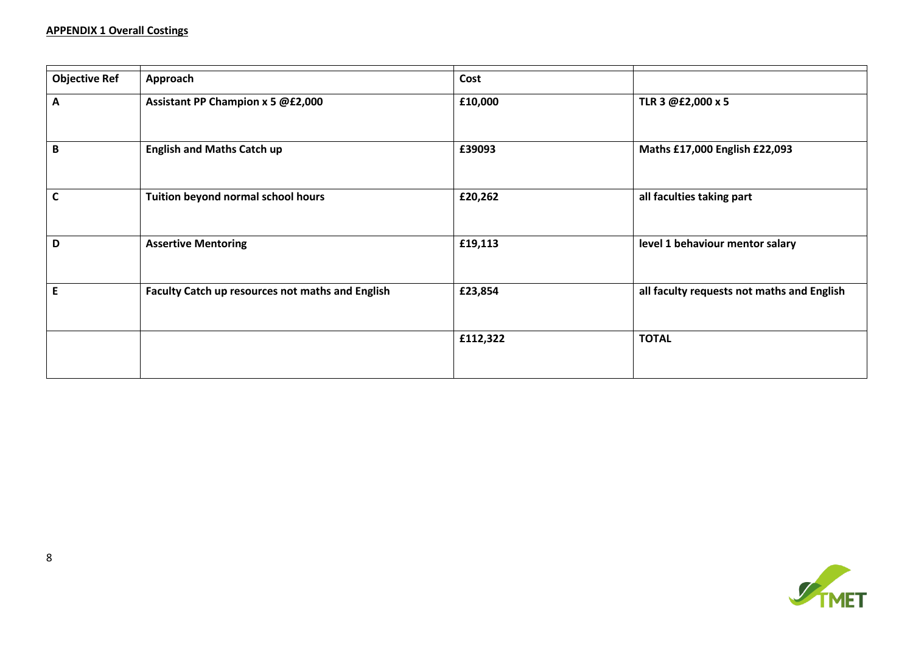| <b>Objective Ref</b> | Approach                                         | Cost     |                                            |
|----------------------|--------------------------------------------------|----------|--------------------------------------------|
| A                    | Assistant PP Champion x 5 @£2,000                | £10,000  | TLR 3 @£2,000 x 5                          |
|                      |                                                  |          |                                            |
| B                    | <b>English and Maths Catch up</b>                | £39093   | Maths £17,000 English £22,093              |
| $\mathsf{C}$         | Tuition beyond normal school hours               | £20,262  | all faculties taking part                  |
| D                    | <b>Assertive Mentoring</b>                       | £19,113  | level 1 behaviour mentor salary            |
| $\mathsf E$          | Faculty Catch up resources not maths and English | £23,854  | all faculty requests not maths and English |
|                      |                                                  | £112,322 | <b>TOTAL</b>                               |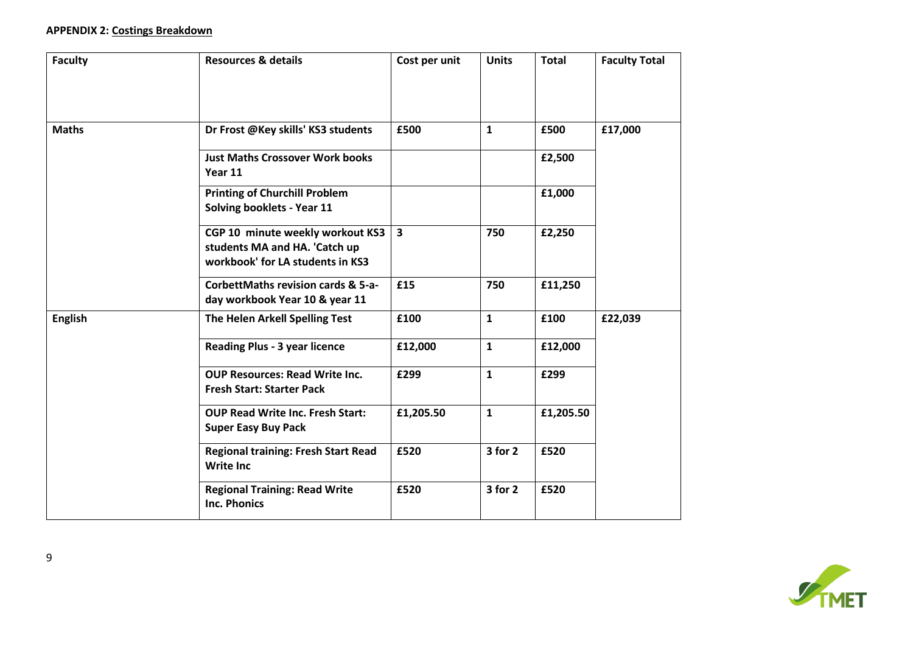# **APPENDIX 2: Costings Breakdown**

| <b>Faculty</b> | <b>Resources &amp; details</b>                                                                        | Cost per unit           | <b>Units</b> | <b>Total</b> | <b>Faculty Total</b> |
|----------------|-------------------------------------------------------------------------------------------------------|-------------------------|--------------|--------------|----------------------|
|                |                                                                                                       |                         |              |              |                      |
| <b>Maths</b>   | Dr Frost @Key skills' KS3 students                                                                    | £500                    | $\mathbf{1}$ | £500         | £17,000              |
|                | <b>Just Maths Crossover Work books</b><br>Year 11                                                     |                         |              | £2,500       |                      |
|                | <b>Printing of Churchill Problem</b><br>Solving booklets - Year 11                                    |                         |              | £1,000       |                      |
|                | CGP 10 minute weekly workout KS3<br>students MA and HA. 'Catch up<br>workbook' for LA students in KS3 | $\overline{\mathbf{3}}$ | 750          | £2,250       |                      |
|                | CorbettMaths revision cards & 5-a-<br>day workbook Year 10 & year 11                                  | £15                     | 750          | £11,250      |                      |
| <b>English</b> | The Helen Arkell Spelling Test                                                                        | £100                    | $\mathbf{1}$ | £100         | £22,039              |
|                | <b>Reading Plus - 3 year licence</b>                                                                  | £12,000                 | $\mathbf{1}$ | £12,000      |                      |
|                | <b>OUP Resources: Read Write Inc.</b><br><b>Fresh Start: Starter Pack</b>                             | £299                    | $\mathbf{1}$ | £299         |                      |
|                | <b>OUP Read Write Inc. Fresh Start:</b><br><b>Super Easy Buy Pack</b>                                 | £1,205.50               | $\mathbf{1}$ | £1,205.50    |                      |
|                | <b>Regional training: Fresh Start Read</b><br><b>Write Inc</b>                                        | £520                    | $3$ for $2$  | £520         |                      |
|                | <b>Regional Training: Read Write</b><br><b>Inc. Phonics</b>                                           | £520                    | 3 for 2      | £520         |                      |

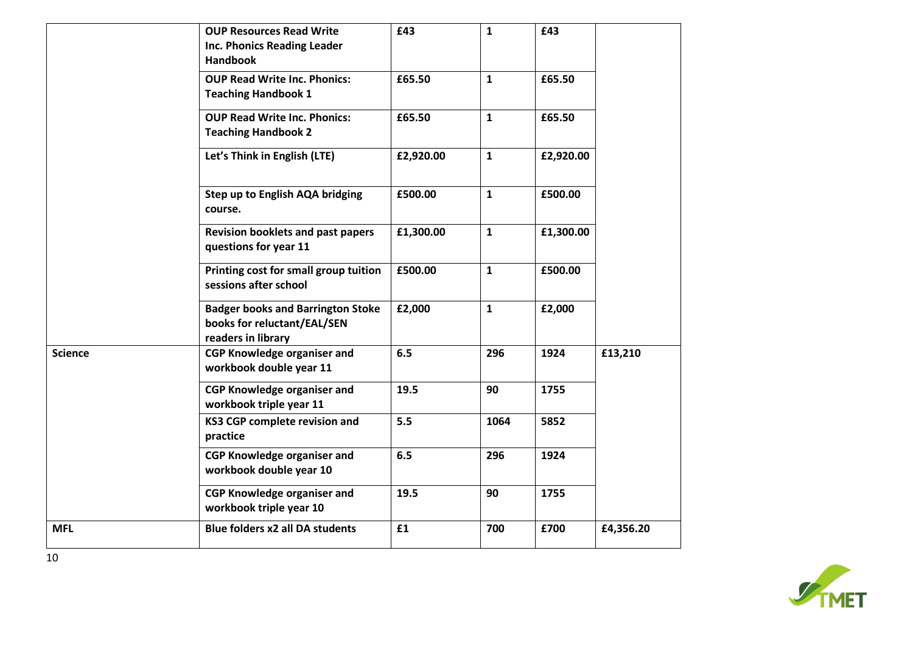|                | <b>OUP Resources Read Write</b><br><b>Inc. Phonics Reading Leader</b><br><b>Handbook</b>      | £43       | $\mathbf{1}$ | £43       |           |
|----------------|-----------------------------------------------------------------------------------------------|-----------|--------------|-----------|-----------|
|                | <b>OUP Read Write Inc. Phonics:</b><br><b>Teaching Handbook 1</b>                             | £65.50    | $\mathbf{1}$ | £65.50    |           |
|                | <b>OUP Read Write Inc. Phonics:</b><br><b>Teaching Handbook 2</b>                             | £65.50    | $\mathbf{1}$ | £65.50    |           |
|                | Let's Think in English (LTE)                                                                  | £2,920.00 | $\mathbf{1}$ | £2,920.00 |           |
|                | Step up to English AQA bridging<br>course.                                                    | £500.00   | $\mathbf{1}$ | £500.00   |           |
|                | <b>Revision booklets and past papers</b><br>questions for year 11                             | £1,300.00 | $\mathbf{1}$ | £1,300.00 |           |
|                | Printing cost for small group tuition<br>sessions after school                                | £500.00   | $\mathbf{1}$ | £500.00   |           |
|                | <b>Badger books and Barrington Stoke</b><br>books for reluctant/EAL/SEN<br>readers in library | £2,000    | $\mathbf{1}$ | £2,000    |           |
| <b>Science</b> | <b>CGP Knowledge organiser and</b><br>workbook double year 11                                 | 6.5       | 296          | 1924      | £13,210   |
|                | <b>CGP Knowledge organiser and</b><br>workbook triple year 11                                 | 19.5      | 90           | 1755      |           |
|                | KS3 CGP complete revision and<br>practice                                                     | 5.5       | 1064         | 5852      |           |
|                | <b>CGP Knowledge organiser and</b><br>workbook double year 10                                 | 6.5       | 296          | 1924      |           |
|                | <b>CGP Knowledge organiser and</b><br>workbook triple year 10                                 | 19.5      | 90           | 1755      |           |
| <b>MFL</b>     | <b>Blue folders x2 all DA students</b>                                                        | £1        | 700          | £700      | £4,356.20 |

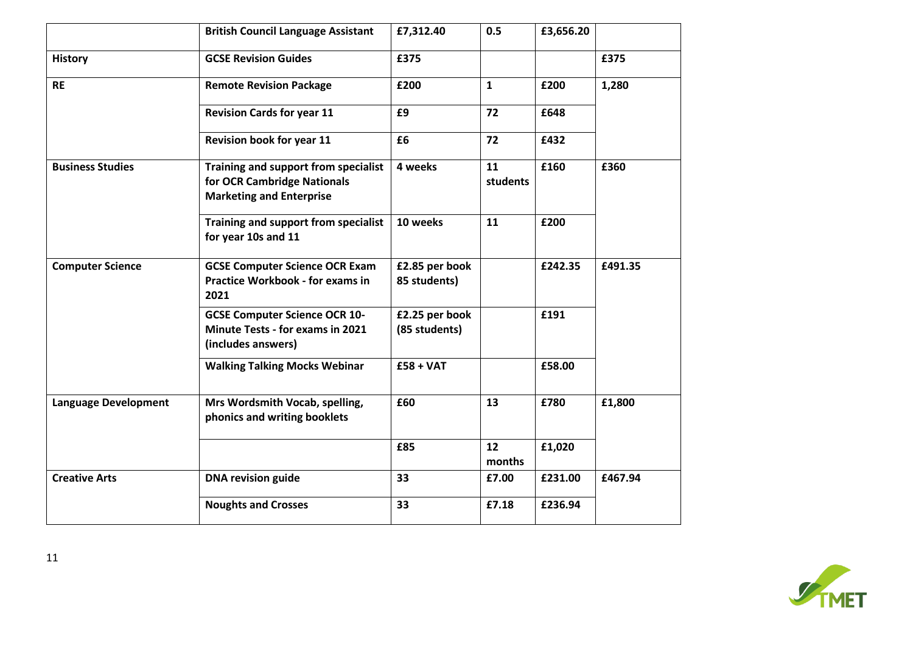|                             | <b>British Council Language Assistant</b>                                                              | £7,312.40                       | 0.5            | £3,656.20 |         |
|-----------------------------|--------------------------------------------------------------------------------------------------------|---------------------------------|----------------|-----------|---------|
| <b>History</b>              | <b>GCSE Revision Guides</b>                                                                            | £375                            |                |           | £375    |
| <b>RE</b>                   | <b>Remote Revision Package</b>                                                                         | £200                            | 1              | £200      | 1,280   |
|                             | <b>Revision Cards for year 11</b>                                                                      | £9                              | 72             | £648      |         |
|                             | Revision book for year 11                                                                              | £6                              | 72             | £432      |         |
| <b>Business Studies</b>     | Training and support from specialist<br>for OCR Cambridge Nationals<br><b>Marketing and Enterprise</b> | 4 weeks                         | 11<br>students | £160      | £360    |
|                             | Training and support from specialist<br>for year 10s and 11                                            | 10 weeks                        | 11             | £200      |         |
| <b>Computer Science</b>     | <b>GCSE Computer Science OCR Exam</b><br><b>Practice Workbook - for exams in</b><br>2021               | £2.85 per book<br>85 students)  |                | £242.35   | £491.35 |
|                             | <b>GCSE Computer Science OCR 10-</b><br><b>Minute Tests - for exams in 2021</b><br>(includes answers)  | £2.25 per book<br>(85 students) |                | £191      |         |
|                             | <b>Walking Talking Mocks Webinar</b>                                                                   | $£58 + VAT$                     |                | £58.00    |         |
| <b>Language Development</b> | Mrs Wordsmith Vocab, spelling,<br>phonics and writing booklets                                         | £60                             | 13             | £780      | £1,800  |
|                             |                                                                                                        | £85                             | 12<br>months   | £1,020    |         |
| <b>Creative Arts</b>        | <b>DNA revision guide</b>                                                                              | 33                              | £7.00          | £231.00   | £467.94 |
|                             | <b>Noughts and Crosses</b>                                                                             | 33                              | £7.18          | £236.94   |         |

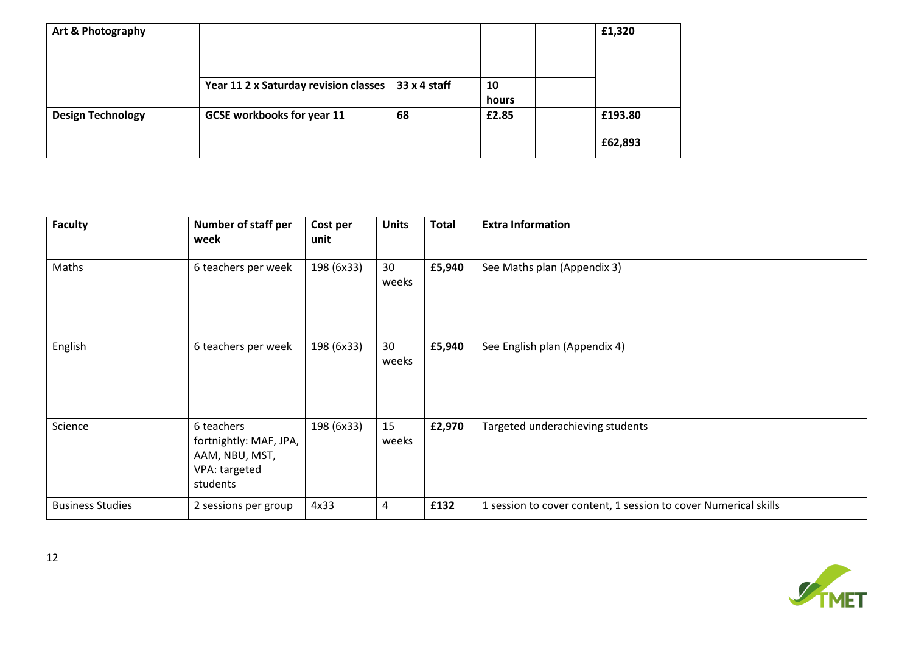| Art & Photography        |                                       |              |             | £1,320  |
|--------------------------|---------------------------------------|--------------|-------------|---------|
|                          |                                       |              |             |         |
|                          | Year 11 2 x Saturday revision classes | 33 x 4 staff | 10<br>hours |         |
| <b>Design Technology</b> | <b>GCSE workbooks for year 11</b>     | 68           | £2.85       | £193.80 |
|                          |                                       |              |             | £62,893 |

| <b>Faculty</b>          | <b>Number of staff per</b><br>week                                                  | Cost per<br>unit | <b>Units</b> | <b>Total</b> | <b>Extra Information</b>                                        |
|-------------------------|-------------------------------------------------------------------------------------|------------------|--------------|--------------|-----------------------------------------------------------------|
| Maths                   | 6 teachers per week                                                                 | 198 (6x33)       | 30<br>weeks  | £5,940       | See Maths plan (Appendix 3)                                     |
| English                 | 6 teachers per week                                                                 | 198 (6x33)       | 30<br>weeks  | £5,940       | See English plan (Appendix 4)                                   |
| Science                 | 6 teachers<br>fortnightly: MAF, JPA,<br>AAM, NBU, MST,<br>VPA: targeted<br>students | 198 (6x33)       | 15<br>weeks  | £2,970       | Targeted underachieving students                                |
| <b>Business Studies</b> | 2 sessions per group                                                                | 4x33             | 4            | £132         | 1 session to cover content, 1 session to cover Numerical skills |

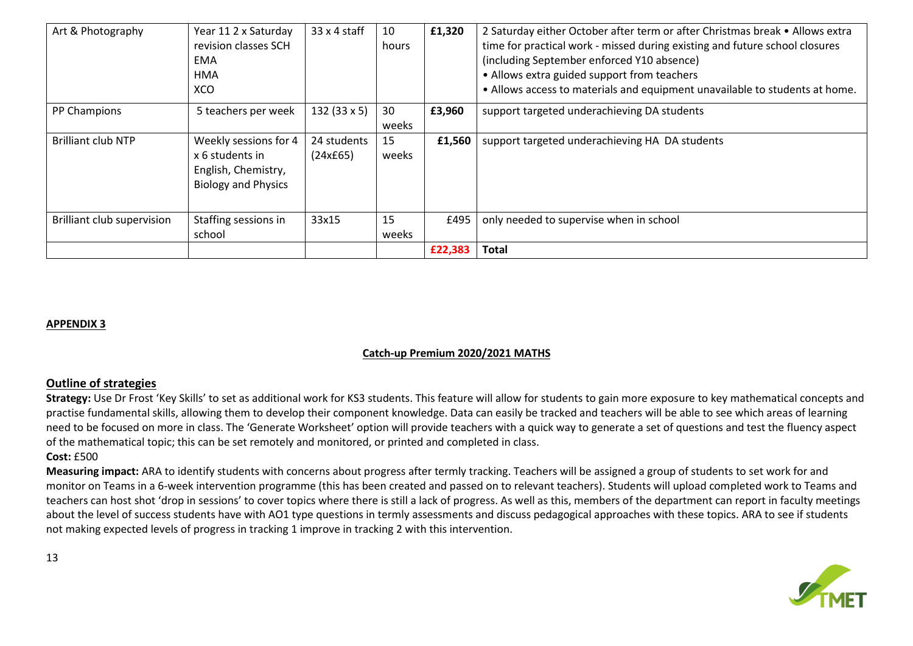| Art & Photography                 | Year 11 2 x Saturday<br>revision classes SCH<br>EMA<br><b>HMA</b><br>XCO                      | $33 \times 4$ staff     | 10<br>hours | £1,320  | 2 Saturday either October after term or after Christmas break • Allows extra<br>time for practical work - missed during existing and future school closures<br>(including September enforced Y10 absence)<br>• Allows extra guided support from teachers<br>. Allows access to materials and equipment unavailable to students at home. |
|-----------------------------------|-----------------------------------------------------------------------------------------------|-------------------------|-------------|---------|-----------------------------------------------------------------------------------------------------------------------------------------------------------------------------------------------------------------------------------------------------------------------------------------------------------------------------------------|
| PP Champions                      | 5 teachers per week                                                                           | $132(33 \times 5)$      | 30<br>weeks | £3,960  | support targeted underachieving DA students                                                                                                                                                                                                                                                                                             |
| <b>Brilliant club NTP</b>         | Weekly sessions for 4<br>x 6 students in<br>English, Chemistry,<br><b>Biology and Physics</b> | 24 students<br>(24x£65) | 15<br>weeks | £1,560  | support targeted underachieving HA DA students                                                                                                                                                                                                                                                                                          |
| <b>Brilliant club supervision</b> | Staffing sessions in<br>school                                                                | 33x15                   | 15<br>weeks | £495    | only needed to supervise when in school                                                                                                                                                                                                                                                                                                 |
|                                   |                                                                                               |                         |             | £22,383 | <b>Total</b>                                                                                                                                                                                                                                                                                                                            |

## **APPENDIX 3**

## **Catch-up Premium 2020/2021 MATHS**

## **Outline of strategies**

**Strategy:** Use Dr Frost 'Key Skills' to set as additional work for KS3 students. This feature will allow for students to gain more exposure to key mathematical concepts and practise fundamental skills, allowing them to develop their component knowledge. Data can easily be tracked and teachers will be able to see which areas of learning need to be focused on more in class. The 'Generate Worksheet' option will provide teachers with a quick way to generate a set of questions and test the fluency aspect of the mathematical topic; this can be set remotely and monitored, or printed and completed in class.

## **Cost:** £500

**Measuring impact:** ARA to identify students with concerns about progress after termly tracking. Teachers will be assigned a group of students to set work for and monitor on Teams in a 6-week intervention programme (this has been created and passed on to relevant teachers). Students will upload completed work to Teams and teachers can host shot 'drop in sessions' to cover topics where there is still a lack of progress. As well as this, members of the department can report in faculty meetings about the level of success students have with AO1 type questions in termly assessments and discuss pedagogical approaches with these topics. ARA to see if students not making expected levels of progress in tracking 1 improve in tracking 2 with this intervention.

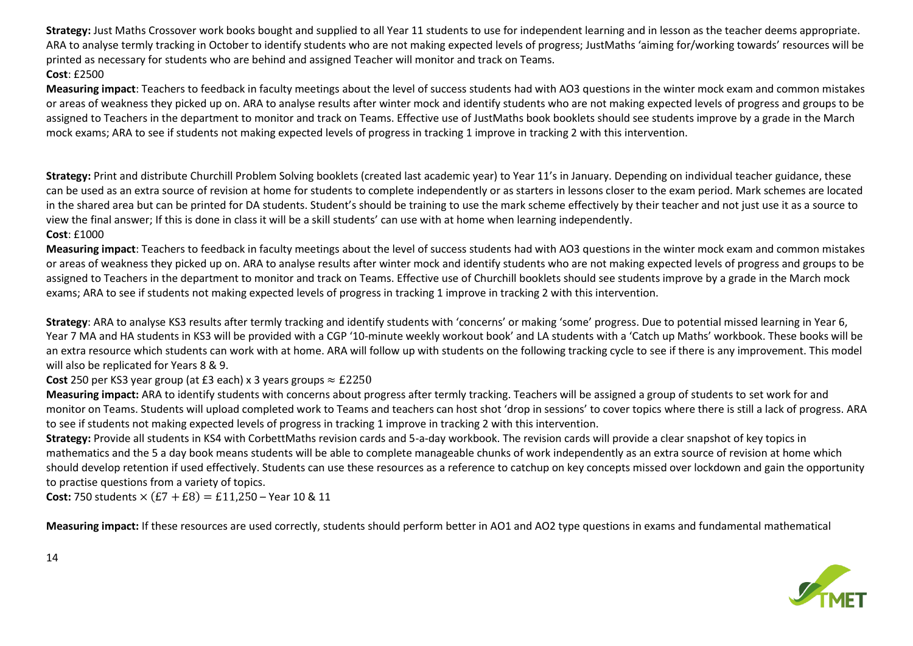**Strategy:** Just Maths Crossover work books bought and supplied to all Year 11 students to use for independent learning and in lesson as the teacher deems appropriate. ARA to analyse termly tracking in October to identify students who are not making expected levels of progress; JustMaths 'aiming for/working towards' resources will be printed as necessary for students who are behind and assigned Teacher will monitor and track on Teams. **Cost**: £2500

**Measuring impact**: Teachers to feedback in faculty meetings about the level of success students had with AO3 questions in the winter mock exam and common mistakes or areas of weakness they picked up on. ARA to analyse results after winter mock and identify students who are not making expected levels of progress and groups to be assigned to Teachers in the department to monitor and track on Teams. Effective use of JustMaths book booklets should see students improve by a grade in the March mock exams; ARA to see if students not making expected levels of progress in tracking 1 improve in tracking 2 with this intervention.

**Strategy:** Print and distribute Churchill Problem Solving booklets (created last academic year) to Year 11's in January. Depending on individual teacher guidance, these can be used as an extra source of revision at home for students to complete independently or as starters in lessons closer to the exam period. Mark schemes are located in the shared area but can be printed for DA students. Student's should be training to use the mark scheme effectively by their teacher and not just use it as a source to view the final answer; If this is done in class it will be a skill students' can use with at home when learning independently.

## **Cost**: £1000

**Measuring impact**: Teachers to feedback in faculty meetings about the level of success students had with AO3 questions in the winter mock exam and common mistakes or areas of weakness they picked up on. ARA to analyse results after winter mock and identify students who are not making expected levels of progress and groups to be assigned to Teachers in the department to monitor and track on Teams. Effective use of Churchill booklets should see students improve by a grade in the March mock exams; ARA to see if students not making expected levels of progress in tracking 1 improve in tracking 2 with this intervention.

**Strategy**: ARA to analyse KS3 results after termly tracking and identify students with 'concerns' or making 'some' progress. Due to potential missed learning in Year 6, Year 7 MA and HA students in KS3 will be provided with a CGP '10-minute weekly workout book' and LA students with a 'Catch up Maths' workbook. These books will be an extra resource which students can work with at home. ARA will follow up with students on the following tracking cycle to see if there is any improvement. This model will also be replicated for Years 8 & 9.

**Cost** 250 per KS3 year group (at £3 each) x 3 years groups  $\approx$  £2250

**Measuring impact:** ARA to identify students with concerns about progress after termly tracking. Teachers will be assigned a group of students to set work for and monitor on Teams. Students will upload completed work to Teams and teachers can host shot 'drop in sessions' to cover topics where there is still a lack of progress. ARA to see if students not making expected levels of progress in tracking 1 improve in tracking 2 with this intervention.

**Strategy:** Provide all students in KS4 with CorbettMaths revision cards and 5-a-day workbook. The revision cards will provide a clear snapshot of key topics in mathematics and the 5 a day book means students will be able to complete manageable chunks of work independently as an extra source of revision at home which should develop retention if used effectively. Students can use these resources as a reference to catchup on key concepts missed over lockdown and gain the opportunity to practise questions from a variety of topics.

**Cost:** 750 students  $\times$   $(E7 + E8) = E11,250 -$  Year 10 & 11

**Measuring impact:** If these resources are used correctly, students should perform better in AO1 and AO2 type questions in exams and fundamental mathematical

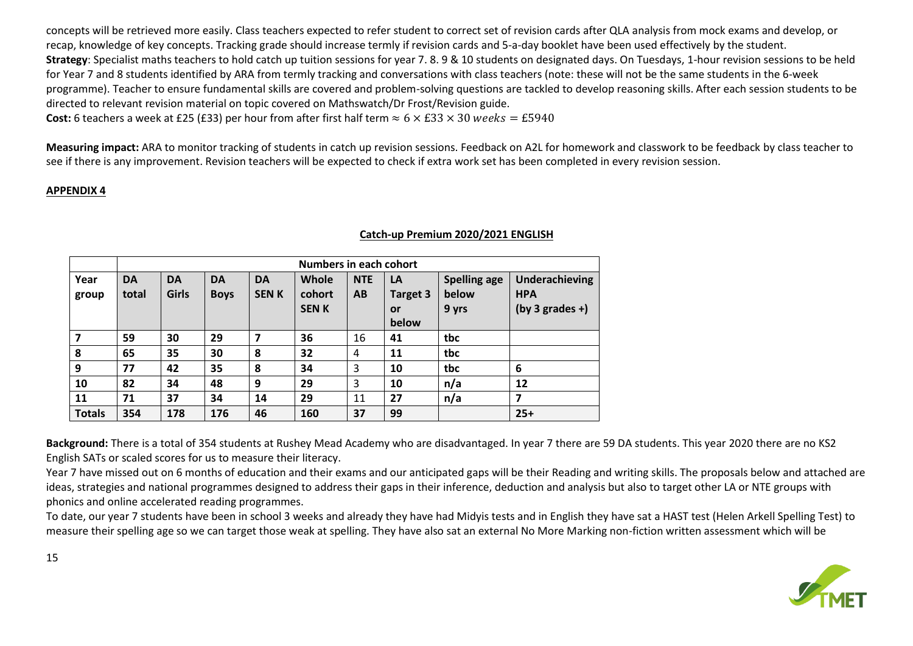concepts will be retrieved more easily. Class teachers expected to refer student to correct set of revision cards after QLA analysis from mock exams and develop, or recap, knowledge of key concepts. Tracking grade should increase termly if revision cards and 5-a-day booklet have been used effectively by the student. **Strategy**: Specialist maths teachers to hold catch up tuition sessions for year 7. 8. 9 & 10 students on designated days. On Tuesdays, 1-hour revision sessions to be held for Year 7 and 8 students identified by ARA from termly tracking and conversations with class teachers (note: these will not be the same students in the 6-week programme). Teacher to ensure fundamental skills are covered and problem-solving questions are tackled to develop reasoning skills. After each session students to be directed to relevant revision material on topic covered on Mathswatch/Dr Frost/Revision guide.

**Cost:** 6 teachers a week at £25 (£33) per hour from after first half term  $\approx 6 \times \text{\textsterling}33 \times 30$  weeks = £5940

**Measuring impact:** ARA to monitor tracking of students in catch up revision sessions. Feedback on A2L for homework and classwork to be feedback by class teacher to see if there is any improvement. Revision teachers will be expected to check if extra work set has been completed in every revision session.

# **APPENDIX 4**

|               | <b>Numbers in each cohort</b> |              |             |             |             |            |                 |                     |                   |  |
|---------------|-------------------------------|--------------|-------------|-------------|-------------|------------|-----------------|---------------------|-------------------|--|
| Year          | <b>DA</b>                     | <b>DA</b>    | <b>DA</b>   | <b>DA</b>   | Whole       | <b>NTE</b> | LA              | <b>Spelling age</b> | Underachieving    |  |
| group         | total                         | <b>Girls</b> | <b>Boys</b> | <b>SENK</b> | cohort      | AB         | <b>Target 3</b> | below               | <b>HPA</b>        |  |
|               |                               |              |             |             | <b>SENK</b> |            | <b>or</b>       | 9 yrs               | $(by 3 grades +)$ |  |
|               |                               |              |             |             |             |            | below           |                     |                   |  |
| 7             | 59                            | 30           | 29          | 7           | 36          | 16         | 41              | tbc                 |                   |  |
| 8             | 65                            | 35           | 30          | 8           | 32          | 4          | 11              | tbc                 |                   |  |
| 9             | 77                            | 42           | 35          | 8           | 34          | 3          | 10              | tbc                 | 6                 |  |
| 10            | 82                            | 34           | 48          | 9           | 29          | 3          | 10              | n/a                 | 12                |  |
| 11            | 71                            | 37           | 34          | 14          | 29          | 11         | 27              | n/a                 | 7                 |  |
| <b>Totals</b> | 354                           | 178          | 176         | 46          | 160         | 37         | 99              |                     | $25+$             |  |

#### **Catch-up Premium 2020/2021 ENGLISH**

**Background:** There is a total of 354 students at Rushey Mead Academy who are disadvantaged. In year 7 there are 59 DA students. This year 2020 there are no KS2 English SATs or scaled scores for us to measure their literacy.

Year 7 have missed out on 6 months of education and their exams and our anticipated gaps will be their Reading and writing skills. The proposals below and attached are ideas, strategies and national programmes designed to address their gaps in their inference, deduction and analysis but also to target other LA or NTE groups with phonics and online accelerated reading programmes.

To date, our year 7 students have been in school 3 weeks and already they have had Midyis tests and in English they have sat a HAST test (Helen Arkell Spelling Test) to measure their spelling age so we can target those weak at spelling. They have also sat an external No More Marking non-fiction written assessment which will be

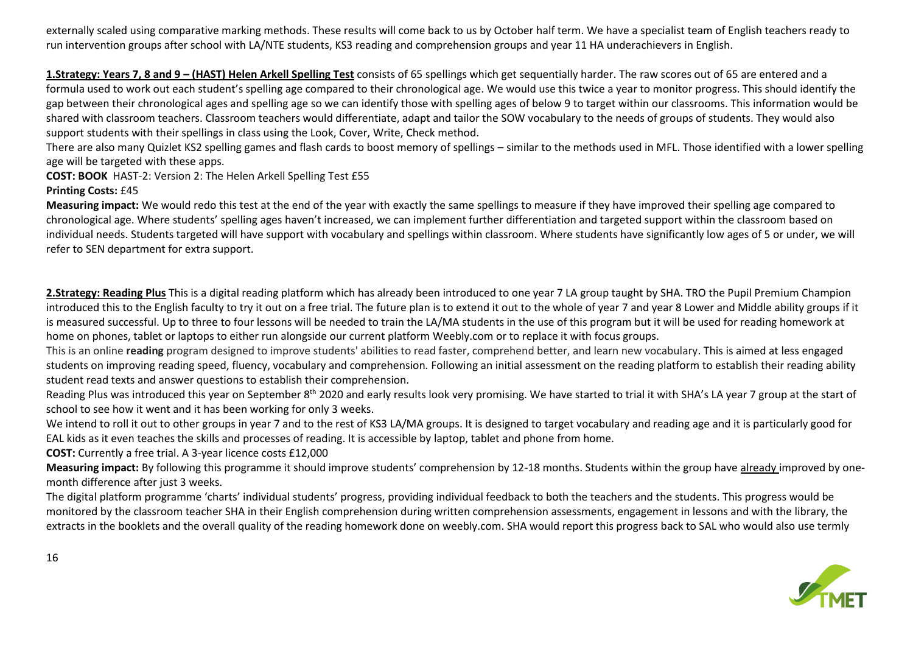externally scaled using comparative marking methods. These results will come back to us by October half term. We have a specialist team of English teachers ready to run intervention groups after school with LA/NTE students, KS3 reading and comprehension groups and year 11 HA underachievers in English.

**1.Strategy: Years 7, 8 and 9 – (HAST) Helen Arkell Spelling Test** consists of 65 spellings which get sequentially harder. The raw scores out of 65 are entered and a formula used to work out each student's spelling age compared to their chronological age. We would use this twice a year to monitor progress. This should identify the gap between their chronological ages and spelling age so we can identify those with spelling ages of below 9 to target within our classrooms. This information would be shared with classroom teachers. Classroom teachers would differentiate, adapt and tailor the SOW vocabulary to the needs of groups of students. They would also support students with their spellings in class using the Look, Cover, Write, Check method.

There are also many Quizlet KS2 spelling games and flash cards to boost memory of spellings – similar to the methods used in MFL. Those identified with a lower spelling age will be targeted with these apps.

**COST: BOOK** HAST-2: Version 2: The Helen Arkell Spelling Test £55

#### **Printing Costs:** £45

**Measuring impact:** We would redo this test at the end of the year with exactly the same spellings to measure if they have improved their spelling age compared to chronological age. Where students' spelling ages haven't increased, we can implement further differentiation and targeted support within the classroom based on individual needs. Students targeted will have support with vocabulary and spellings within classroom. Where students have significantly low ages of 5 or under, we will refer to SEN department for extra support.

**2.Strategy: Reading Plus** This is a digital reading platform which has already been introduced to one year 7 LA group taught by SHA. TRO the Pupil Premium Champion introduced this to the English faculty to try it out on a free trial. The future plan is to extend it out to the whole of year 7 and year 8 Lower and Middle ability groups if it is measured successful. Up to three to four lessons will be needed to train the LA/MA students in the use of this program but it will be used for reading homework at home on phones, tablet or laptops to either run alongside our current platform Weebly.com or to replace it with focus groups.

This is an online **reading** program designed to improve students' abilities to read faster, comprehend better, and learn new vocabulary. This is aimed at less engaged students on improving reading speed, fluency, vocabulary and comprehension*.* Following an initial assessment on the reading platform to establish their reading ability student read texts and answer questions to establish their comprehension.

Reading Plus was introduced this year on September 8<sup>th</sup> 2020 and early results look very promising. We have started to trial it with SHA's LA year 7 group at the start of school to see how it went and it has been working for only 3 weeks.

We intend to roll it out to other groups in year 7 and to the rest of KS3 LA/MA groups. It is designed to target vocabulary and reading age and it is particularly good for EAL kids as it even teaches the skills and processes of reading. It is accessible by laptop, tablet and phone from home.

**COST:** Currently a free trial. A 3-year licence costs £12,000

**Measuring impact:** By following this programme it should improve students' comprehension by 12-18 months. Students within the group have already improved by onemonth difference after just 3 weeks.

The digital platform programme 'charts' individual students' progress, providing individual feedback to both the teachers and the students. This progress would be monitored by the classroom teacher SHA in their English comprehension during written comprehension assessments, engagement in lessons and with the library, the extracts in the booklets and the overall quality of the reading homework done on weebly.com. SHA would report this progress back to SAL who would also use termly

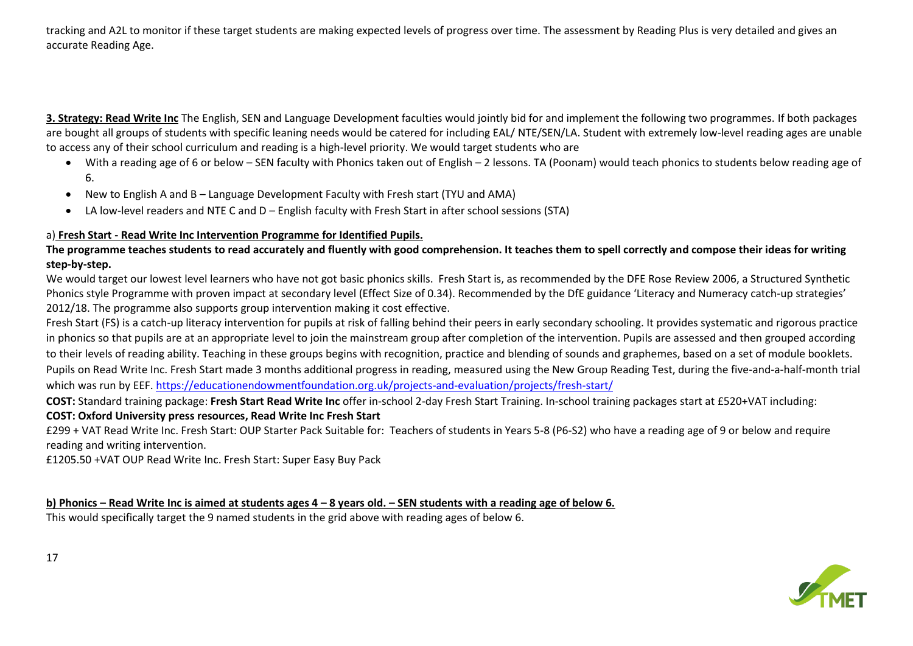tracking and A2L to monitor if these target students are making expected levels of progress over time. The assessment by Reading Plus is very detailed and gives an accurate Reading Age.

**3. Strategy: Read Write Inc** The English, SEN and Language Development faculties would jointly bid for and implement the following two programmes. If both packages are bought all groups of students with specific leaning needs would be catered for including EAL/ NTE/SEN/LA. Student with extremely low-level reading ages are unable to access any of their school curriculum and reading is a high-level priority. We would target students who are

- With a reading age of 6 or below SEN faculty with Phonics taken out of English 2 lessons. TA (Poonam) would teach phonics to students below reading age of 6.
- New to English A and B Language Development Faculty with Fresh start (TYU and AMA)
- LA low-level readers and NTE C and D English faculty with Fresh Start in after school sessions (STA)

# a) **Fresh Start - Read Write Inc Intervention Programme for Identified Pupils.**

**The programme teaches students to read accurately and fluently with good comprehension. It teaches them to spell correctly and compose their ideas for writing step-by-step.**

We would target our lowest level learners who have not got basic phonics skills. Fresh Start is, as recommended by the DFE Rose Review 2006, a Structured Synthetic Phonics style Programme with proven impact at secondary level (Effect Size of 0.34). Recommended by the DfE guidance 'Literacy and Numeracy catch-up strategies' 2012/18. The programme also supports group intervention making it cost effective.

Fresh Start (FS) is a catch-up literacy intervention for pupils at risk of falling behind their peers in early secondary schooling. It provides systematic and rigorous practice in phonics so that pupils are at an appropriate level to join the mainstream group after completion of the intervention. Pupils are assessed and then grouped according to their levels of reading ability. Teaching in these groups begins with recognition, practice and blending of sounds and graphemes, based on a set of module booklets. Pupils on Read Write Inc. Fresh Start made 3 months additional progress in reading, measured using the New Group Reading Test, during the five-and-a-half-month trial which was run by EEF. <https://educationendowmentfoundation.org.uk/projects-and-evaluation/projects/fresh-start/>

**COST:** Standard training package: **Fresh Start Read Write Inc** offer in-school 2-day Fresh Start Training. In-school training packages start at £520+VAT including: **COST: Oxford University press resources, Read Write Inc Fresh Start**

£299 + VAT Read Write Inc. Fresh Start: OUP Starter Pack Suitable for: Teachers of students in Years 5-8 (P6-S2) who have a reading age of 9 or below and require reading and writing intervention.

£1205.50 +VAT OUP Read Write Inc. Fresh Start: Super Easy Buy Pack

**b) Phonics – Read Write Inc is aimed at students ages 4 – 8 years old. – SEN students with a reading age of below 6.** 

This would specifically target the 9 named students in the grid above with reading ages of below 6.

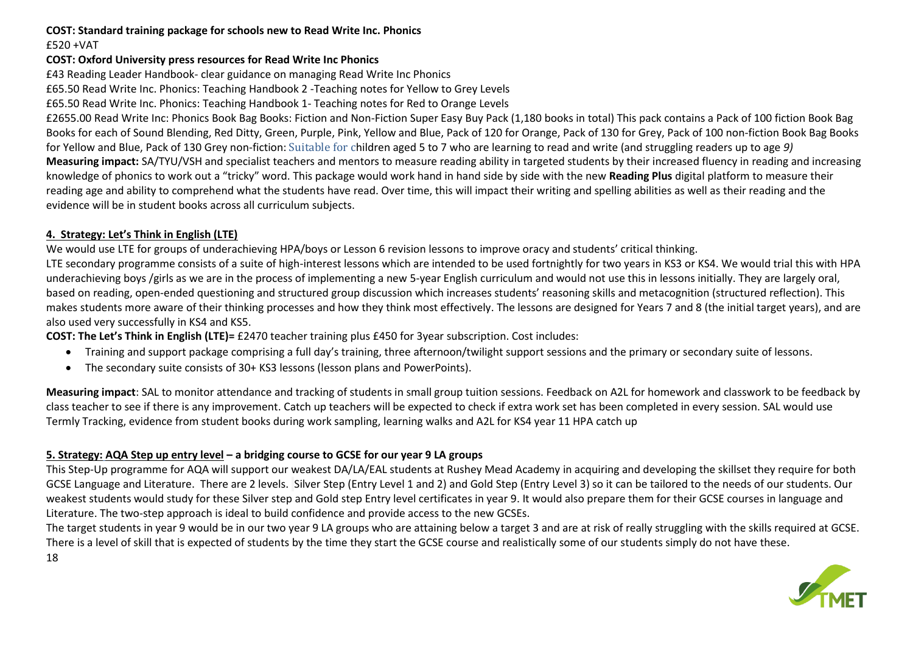# **COST: Standard training package for schools new to Read Write Inc. Phonics**

£520 +VAT

18

# **COST: Oxford University press resources for Read Write Inc Phonics**

£43 Reading Leader Handbook- clear guidance on managing Read Write Inc Phonics

£65.50 Read Write Inc. Phonics: Teaching Handbook 2 -Teaching notes for Yellow to Grey Levels

£65.50 Read Write Inc. Phonics: Teaching Handbook 1- Teaching notes for Red to Orange Levels

£2655.00 Read Write Inc: Phonics Book Bag Books: Fiction and Non-Fiction Super Easy Buy Pack (1,180 books in total) This pack contains a Pack of 100 fiction Book Bag Books for each of Sound Blending, Red Ditty, Green, Purple, Pink, Yellow and Blue, Pack of 120 for Orange, Pack of 130 for Grey, Pack of 100 non-fiction Book Bag Books for Yellow and Blue, Pack of 130 Grey non-fiction: Suitable for children aged 5 to 7 who are learning to read and write (and struggling readers up to age *9)* **Measuring impact:** SA/TYU/VSH and specialist teachers and mentors to measure reading ability in targeted students by their increased fluency in reading and increasing knowledge of phonics to work out a "tricky" word. This package would work hand in hand side by side with the new **Reading Plus** digital platform to measure their reading age and ability to comprehend what the students have read. Over time, this will impact their writing and spelling abilities as well as their reading and the evidence will be in student books across all curriculum subjects.

# **4. Strategy: Let's Think in English (LTE)**

We would use LTE for groups of underachieving HPA/boys or Lesson 6 revision lessons to improve oracy and students' critical thinking.

LTE secondary programme consists of a suite of high-interest lessons which are intended to be used fortnightly for two years in KS3 or KS4. We would trial this with HPA underachieving boys /girls as we are in the process of implementing a new 5-year English curriculum and would not use this in lessons initially. They are largely oral, based on reading, open-ended questioning and structured group discussion which increases students' reasoning skills and metacognition (structured reflection). This makes students more aware of their thinking processes and how they think most effectively. The lessons are designed for Years 7 and 8 (the initial target years), and are also used very successfully in KS4 and KS5.

**COST: The Let's Think in English (LTE)=** £2470 teacher training plus £450 for 3year subscription. Cost includes:

- Training and support package comprising a full day's training, three afternoon/twilight support sessions and the primary or secondary suite of lessons.
- The secondary suite consists of 30+ KS3 lessons (lesson plans and PowerPoints).

**Measuring impact**: SAL to monitor attendance and tracking of students in small group tuition sessions. Feedback on A2L for homework and classwork to be feedback by class teacher to see if there is any improvement. Catch up teachers will be expected to check if extra work set has been completed in every session. SAL would use Termly Tracking, evidence from student books during work sampling, learning walks and A2L for KS4 year 11 HPA catch up

# **5. Strategy: AQA Step up entry level – a bridging course to GCSE for our year 9 LA groups**

This Step-Up programme for AQA will support our weakest DA/LA/EAL students at Rushey Mead Academy in acquiring and developing the skillset they require for both GCSE Language and Literature. There are 2 levels. Silver Step (Entry Level 1 and 2) and Gold Step (Entry Level 3) so it can be tailored to the needs of our students. Our weakest students would study for these Silver step and Gold step Entry level certificates in year 9. It would also prepare them for their GCSE courses in language and Literature. The two-step approach is ideal to build confidence and provide access to the new GCSEs.

The target students in year 9 would be in our two year 9 LA groups who are attaining below a target 3 and are at risk of really struggling with the skills required at GCSE. There is a level of skill that is expected of students by the time they start the GCSE course and realistically some of our students simply do not have these.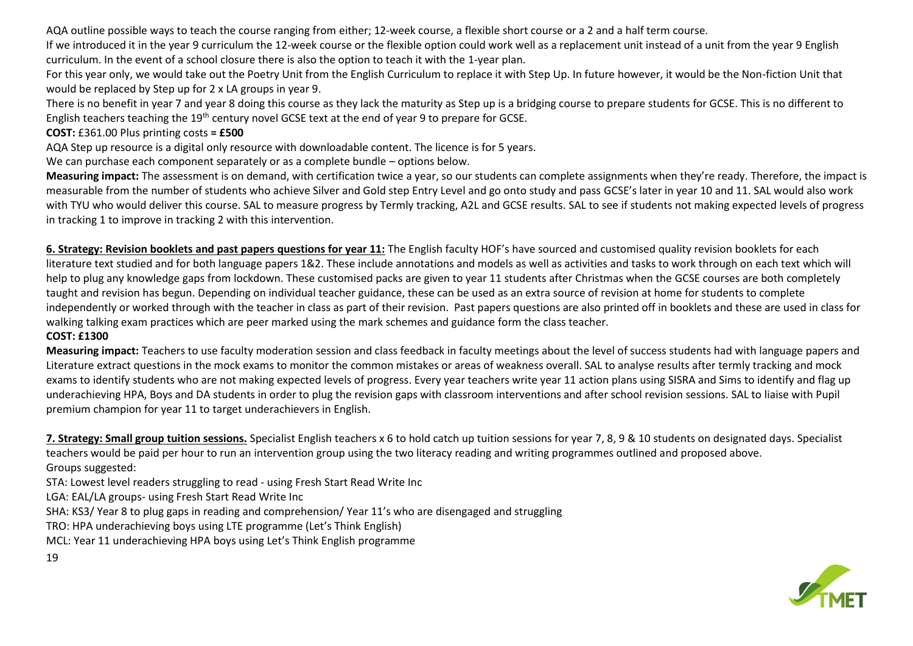AQA outline possible ways to teach the course ranging from either; 12-week course, a flexible short course or a 2 and a half term course.

If we introduced it in the year 9 curriculum the 12-week course or the flexible option could work well as a replacement unit instead of a unit from the year 9 English curriculum. In the event of a school closure there is also the option to teach it with the 1-year plan.

For this year only, we would take out the Poetry Unit from the English Curriculum to replace it with Step Up. In future however, it would be the Non-fiction Unit that would be replaced by Step up for 2 x LA groups in year 9.

There is no benefit in year 7 and year 8 doing this course as they lack the maturity as Step up is a bridging course to prepare students for GCSE. This is no different to English teachers teaching the 19<sup>th</sup> century novel GCSE text at the end of year 9 to prepare for GCSE.

# **COST:** £361.00 Plus printing costs **= £500**

AQA Step up resource is a digital only resource with downloadable content. The licence is for 5 years.

We can purchase each component separately or as a complete bundle – options below.

**Measuring impact:** The assessment is on demand, with certification twice a year, so our students can complete assignments when they're ready. Therefore, the impact is measurable from the number of students who achieve Silver and Gold step Entry Level and go onto study and pass GCSE's later in year 10 and 11. SAL would also work with TYU who would deliver this course. SAL to measure progress by Termly tracking, A2L and GCSE results. SAL to see if students not making expected levels of progress in tracking 1 to improve in tracking 2 with this intervention.

**6. Strategy: Revision booklets and past papers questions for year 11:** The English faculty HOF's have sourced and customised quality revision booklets for each literature text studied and for both language papers 1&2. These include annotations and models as well as activities and tasks to work through on each text which will help to plug any knowledge gaps from lockdown. These customised packs are given to year 11 students after Christmas when the GCSE courses are both completely taught and revision has begun. Depending on individual teacher guidance, these can be used as an extra source of revision at home for students to complete independently or worked through with the teacher in class as part of their revision. Past papers questions are also printed off in booklets and these are used in class for walking talking exam practices which are peer marked using the mark schemes and guidance form the class teacher.

# **COST: £1300**

**Measuring impact:** Teachers to use faculty moderation session and class feedback in faculty meetings about the level of success students had with language papers and Literature extract questions in the mock exams to monitor the common mistakes or areas of weakness overall. SAL to analyse results after termly tracking and mock exams to identify students who are not making expected levels of progress. Every year teachers write year 11 action plans using SISRA and Sims to identify and flag up underachieving HPA, Boys and DA students in order to plug the revision gaps with classroom interventions and after school revision sessions. SAL to liaise with Pupil premium champion for year 11 to target underachievers in English.

**7. Strategy: Small group tuition sessions.** Specialist English teachers x 6 to hold catch up tuition sessions for year 7, 8, 9 & 10 students on designated days. Specialist teachers would be paid per hour to run an intervention group using the two literacy reading and writing programmes outlined and proposed above. Groups suggested:

STA: Lowest level readers struggling to read - using Fresh Start Read Write Inc

LGA: EAL/LA groups- using Fresh Start Read Write Inc

SHA: KS3/ Year 8 to plug gaps in reading and comprehension/ Year 11's who are disengaged and struggling

TRO: HPA underachieving boys using LTE programme (Let's Think English)

MCL: Year 11 underachieving HPA boys using Let's Think English programme

# 19